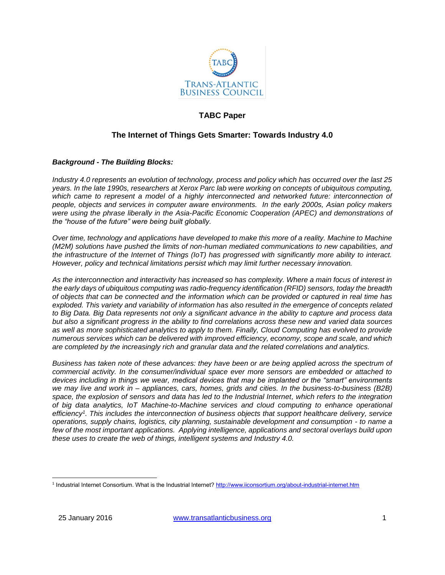

# **TABC Paper**

## **The Internet of Things Gets Smarter: Towards Industry 4.0**

#### *Background - The Building Blocks:*

*Industry 4.0 represents an evolution of technology, process and policy which has occurred over the last 25 years. In the late 1990s, researchers at Xerox Parc lab were working on concepts of ubiquitous computing, which came to represent a model of a highly interconnected and networked future: interconnection of people, objects and services in computer aware environments. In the early 2000s, Asian policy makers were using the phrase liberally in the Asia-Pacific Economic Cooperation (APEC) and demonstrations of the "house of the future" were being built globally.*

*Over time, technology and applications have developed to make this more of a reality. Machine to Machine (M2M) solutions have pushed the limits of non-human mediated communications to new capabilities, and the infrastructure of the Internet of Things (IoT) has progressed with significantly more ability to interact. However, policy and technical limitations persist which may limit further necessary innovation.*

*As the interconnection and interactivity has increased so has complexity. Where a main focus of interest in the early days of ubiquitous computing was radio-frequency identification (RFID) sensors, today the breadth of objects that can be connected and the information which can be provided or captured in real time has exploded. This variety and variability of information has also resulted in the emergence of concepts related to Big Data. Big Data represents not only a significant advance in the ability to capture and process data but also a significant progress in the ability to find correlations across these new and varied data sources as well as more sophisticated analytics to apply to them. Finally, Cloud Computing has evolved to provide numerous services which can be delivered with improved efficiency, economy, scope and scale, and which are completed by the increasingly rich and granular data and the related correlations and analytics.* 

*Business has taken note of these advances: they have been or are being applied across the spectrum of commercial activity. In the consumer/individual space ever more sensors are embedded or attached to devices including in things we wear, medical devices that may be implanted or the "smart" environments we may live and work in – appliances, cars, homes, grids and cities. In the business-to-business (B2B) space, the explosion of sensors and data has led to the Industrial Internet, which refers to the integration of big data analytics, IoT Machine-to-Machine services and cloud computing to enhance operational efficiency<sup>1</sup> . This includes the interconnection of business objects that support healthcare delivery, service operations, supply chains, logistics, city planning, sustainable development and consumption - to name a few of the most important applications. Applying intelligence, applications and sectoral overlays build upon these uses to create the web of things, intelligent systems and Industry 4.0.* 

 $\overline{\phantom{a}}$ <sup>1</sup> Industrial Internet Consortium. What is the Industrial Internet?<http://www.iiconsortium.org/about-industrial-internet.htm>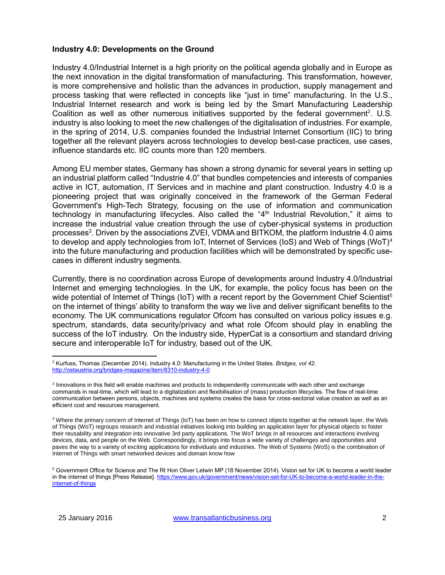#### **Industry 4.0: Developments on the Ground**

Industry 4.0/Industrial Internet is a high priority on the political agenda globally and in Europe as the next innovation in the digital transformation of manufacturing. This transformation, however, is more comprehensive and holistic than the advances in production, supply management and process tasking that were reflected in concepts like "just in time" manufacturing. In the U.S., Industrial Internet research and work is being led by the Smart Manufacturing Leadership Coalition as well as other numerous initiatives supported by the federal government<sup>2</sup>. U.S. industry is also looking to meet the new challenges of the digitalisation of industries. For example, in the spring of 2014, U.S. companies founded the Industrial Internet Consortium (IIC) to bring together all the relevant players across technologies to develop best-case practices, use cases, influence standards etc. IIC counts more than 120 members.

Among EU member states, Germany has shown a strong dynamic for several years in setting up an industrial platform called "Industrie 4.0" that bundles competencies and interests of companies active in ICT, automation, IT Services and in machine and plant construction. Industry 4.0 is a pioneering project that was originally conceived in the framework of the German Federal Government's High-Tech Strategy, focusing on the use of information and communication technology in manufacturing lifecycles. Also called the "4<sup>th</sup> Industrial Revolution," it aims to increase the industrial value creation through the use of cyber-physical systems in production processes<sup>3</sup>. Driven by the associations ZVEI, VDMA and BITKOM, the platform Industrie 4.0 aims to develop and apply technologies from IoT, Internet of Services (IoS) and Web of Things (WoT)<sup>4</sup> into the future manufacturing and production facilities which will be demonstrated by specific usecases in different industry segments.

Currently, there is no coordination across Europe of developments around Industry 4.0/Industrial Internet and emerging technologies. In the UK, for example, the policy focus has been on the wide potential of Internet of Things (IoT) with a recent report by the Government Chief Scientist<sup>5</sup> on the internet of things' ability to transform the way we live and deliver significant benefits to the economy. The UK communications regulator Ofcom has consulted on various policy issues e.g. spectrum, standards, data security/privacy and what role Ofcom should play in enabling the success of the IoT industry. On the industry side, HyperCat is a consortium and standard driving secure and interoperable IoT for industry, based out of the UK.

 $\overline{\phantom{a}}$ <sup>2</sup> Kurfuss, Thomas (December 2014). Industry 4.0: Manufacturing in the United States. *Bridges, vol 42*. <http://ostaustria.org/bridges-magazine/item/8310-industry-4-0>

<sup>&</sup>lt;sup>3</sup> Innovations in this field will enable machines and products to independently communicate with each other and exchange commands in real-time, which will lead to a digitalization and flexibilisation of (mass) production lifecycles. The flow of real-time communication between persons, objects, machines and systems creates the basis for cross-sectorial value creation as well as an efficient cost and resources management.

<sup>4</sup> Where the primary concern of Internet of Things (IoT) has been on how to connect objects together at the network layer, the Web of Things (WoT) regroups research and industrial initiatives looking into building an application layer for physical objects to foster their reusability and integration into innovative 3rd party applications. The WoT brings in all resources and interactions involving devices, data, and people on the Web. Correspondingly, it brings into focus a wide variety of challenges and opportunities and paves the way to a variety of exciting applications for individuals and industries. The Web of Systems (WoS) is the combination of Internet of Things with smart networked devices and domain know how

<sup>5</sup> Government Office for Science and The Rt Hon Oliver Letwin MP (18 November 2014). Vision set for UK to become a world leader in the internet of things [Press Release]. [https://www.gov.uk/government/news/vision-set-for-UK-to-become-a-world-leader-in-the](https://www.gov.uk/government/news/vision-set-for-UK-to-become-a-world-leader-in-the-internet-of-things)[internet-of-things](https://www.gov.uk/government/news/vision-set-for-UK-to-become-a-world-leader-in-the-internet-of-things)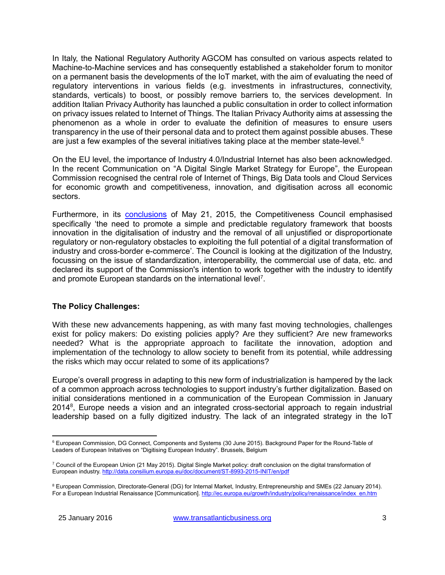In Italy, the National Regulatory Authority AGCOM has consulted on various aspects related to Machine-to-Machine services and has consequently established a stakeholder forum to monitor on a permanent basis the developments of the IoT market, with the aim of evaluating the need of regulatory interventions in various fields (e.g. investments in infrastructures, connectivity, standards, verticals) to boost, or possibly remove barriers to, the services development. In addition Italian Privacy Authority has launched a public consultation in order to collect information on privacy issues related to Internet of Things. The Italian Privacy Authority aims at assessing the phenomenon as a whole in order to evaluate the definition of measures to ensure users transparency in the use of their personal data and to protect them against possible abuses. These are just a few examples of the several initiatives taking place at the member state-level. $6$ 

On the EU level, the importance of Industry 4.0/Industrial Internet has also been acknowledged. In the recent Communication on "A Digital Single Market Strategy for Europe", the European Commission recognised the central role of Internet of Things, Big Data tools and Cloud Services for economic growth and competitiveness, innovation, and digitisation across all economic sectors.

Furthermore, in its [conclusions](http://data.consilium.europa.eu/doc/document/ST-8993-2015-INIT/en/pdf) of May 21, 2015, the Competitiveness Council emphasised specifically 'the need to promote a simple and predictable regulatory framework that boosts innovation in the digitalisation of industry and the removal of all unjustified or disproportionate regulatory or non-regulatory obstacles to exploiting the full potential of a digital transformation of industry and cross-border e-commerce'. The Council is looking at the digitization of the Industry, focussing on the issue of standardization, interoperability, the commercial use of data, etc. and declared its support of the Commission's intention to work together with the industry to identify and promote European standards on the international level<sup>7</sup>.

### **The Policy Challenges:**

With these new advancements happening, as with many fast moving technologies, challenges exist for policy makers: Do existing policies apply? Are they sufficient? Are new frameworks needed? What is the appropriate approach to facilitate the innovation, adoption and implementation of the technology to allow society to benefit from its potential, while addressing the risks which may occur related to some of its applications?

Europe's overall progress in adapting to this new form of industrialization is hampered by the lack of a common approach across technologies to support industry's further digitalization. Based on initial considerations mentioned in a communication of the European Commission in January 2014<sup>8</sup>, Europe needs a vision and an integrated cross-sectorial approach to regain industrial leadership based on a fully digitized industry. The lack of an integrated strategy in the IoT

 $\overline{\phantom{a}}$ <sup>6</sup> European Commission, DG Connect, Components and Systems (30 June 2015). Background Paper for the Round-Table of Leaders of European Initatives on "Digitising European Industry". Brussels, Belgium

<sup>7</sup> Council of the European Union (21 May 2015). Digital Single Market policy: draft conclusion on the digital transformation of European industry.<http://data.consilium.europa.eu/doc/document/ST-8993-2015-INIT/en/pdf>

<sup>8</sup> European Commission, Directorate-General (DG) for Internal Market, Industry, Entrepreneurship and SMEs (22 January 2014). For a European Industrial Renaissance [Communication][. http://ec.europa.eu/growth/industry/policy/renaissance/index\\_en.htm](http://ec.europa.eu/growth/industry/policy/renaissance/index_en.htm)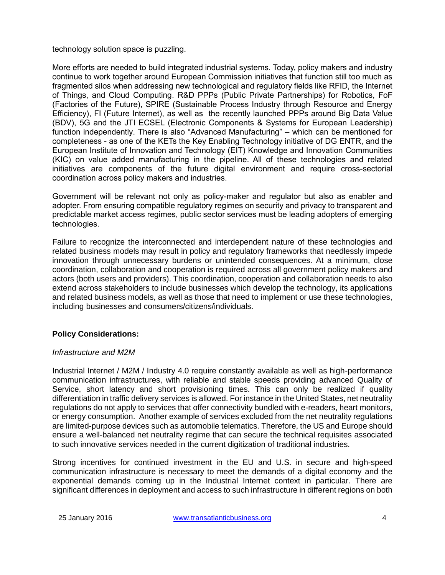technology solution space is puzzling.

More efforts are needed to build integrated industrial systems. Today, policy makers and industry continue to work together around European Commission initiatives that function still too much as fragmented silos when addressing new technological and regulatory fields like RFID, the Internet of Things, and Cloud Computing. R&D PPPs (Public Private Partnerships) for Robotics, FoF (Factories of the Future), SPIRE (Sustainable Process Industry through Resource and Energy Efficiency), FI (Future Internet), as well as the recently launched PPPs around Big Data Value (BDV), 5G and the JTI ECSEL (Electronic Components & Systems for European Leadership) function independently. There is also "Advanced Manufacturing" – which can be mentioned for completeness - as one of the KETs the Key Enabling Technology initiative of DG ENTR, and the European Institute of Innovation and Technology (EIT) Knowledge and Innovation Communities (KIC) on value added manufacturing in the pipeline. All of these technologies and related initiatives are components of the future digital environment and require cross-sectorial coordination across policy makers and industries.

Government will be relevant not only as policy-maker and regulator but also as enabler and adopter. From ensuring compatible regulatory regimes on security and privacy to transparent and predictable market access regimes, public sector services must be leading adopters of emerging technologies.

Failure to recognize the interconnected and interdependent nature of these technologies and related business models may result in policy and regulatory frameworks that needlessly impede innovation through unnecessary burdens or unintended consequences. At a minimum, close coordination, collaboration and cooperation is required across all government policy makers and actors (both users and providers). This coordination, cooperation and collaboration needs to also extend across stakeholders to include businesses which develop the technology, its applications and related business models, as well as those that need to implement or use these technologies, including businesses and consumers/citizens/individuals.

### **Policy Considerations:**

### *Infrastructure and M2M*

Industrial Internet / M2M / Industry 4.0 require constantly available as well as high-performance communication infrastructures, with reliable and stable speeds providing advanced Quality of Service, short latency and short provisioning times. This can only be realized if quality differentiation in traffic delivery services is allowed. For instance in the United States, net neutrality regulations do not apply to services that offer connectivity bundled with e-readers, heart monitors, or energy consumption. Another example of services excluded from the net neutrality regulations are limited-purpose devices such as automobile telematics. Therefore, the US and Europe should ensure a well-balanced net neutrality regime that can secure the technical requisites associated to such innovative services needed in the current digitization of traditional industries.

Strong incentives for continued investment in the EU and U.S. in secure and high-speed communication infrastructure is necessary to meet the demands of a digital economy and the exponential demands coming up in the Industrial Internet context in particular. There are significant differences in deployment and access to such infrastructure in different regions on both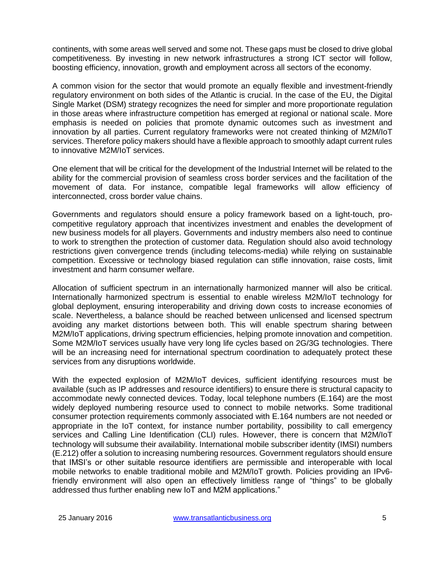continents, with some areas well served and some not. These gaps must be closed to drive global competitiveness. By investing in new network infrastructures a strong ICT sector will follow, boosting efficiency, innovation, growth and employment across all sectors of the economy.

A common vision for the sector that would promote an equally flexible and investment-friendly regulatory environment on both sides of the Atlantic is crucial. In the case of the EU, the Digital Single Market (DSM) strategy recognizes the need for simpler and more proportionate regulation in those areas where infrastructure competition has emerged at regional or national scale. More emphasis is needed on policies that promote dynamic outcomes such as investment and innovation by all parties. Current regulatory frameworks were not created thinking of M2M/IoT services. Therefore policy makers should have a flexible approach to smoothly adapt current rules to innovative M2M/IoT services.

One element that will be critical for the development of the Industrial Internet will be related to the ability for the commercial provision of seamless cross border services and the facilitation of the movement of data. For instance, compatible legal frameworks will allow efficiency of interconnected, cross border value chains.

Governments and regulators should ensure a policy framework based on a light-touch, procompetitive regulatory approach that incentivizes investment and enables the development of new business models for all players. Governments and industry members also need to continue to work to strengthen the protection of customer data. Regulation should also avoid technology restrictions given convergence trends (including telecoms-media) while relying on sustainable competition. Excessive or technology biased regulation can stifle innovation, raise costs, limit investment and harm consumer welfare.

Allocation of sufficient spectrum in an internationally harmonized manner will also be critical. Internationally harmonized spectrum is essential to enable wireless M2M/IoT technology for global deployment, ensuring interoperability and driving down costs to increase economies of scale. Nevertheless, a balance should be reached between unlicensed and licensed spectrum avoiding any market distortions between both. This will enable spectrum sharing between M2M/IoT applications, driving spectrum efficiencies, helping promote innovation and competition. Some M2M/IoT services usually have very long life cycles based on 2G/3G technologies. There will be an increasing need for international spectrum coordination to adequately protect these services from any disruptions worldwide.

With the expected explosion of M2M/IoT devices, sufficient identifying resources must be available (such as IP addresses and resource identifiers) to ensure there is structural capacity to accommodate newly connected devices. Today, local telephone numbers (E.164) are the most widely deployed numbering resource used to connect to mobile networks. Some traditional consumer protection requirements commonly associated with E.164 numbers are not needed or appropriate in the IoT context, for instance number portability, possibility to call emergency services and Calling Line Identification (CLI) rules. However, there is concern that M2M/IoT technology will subsume their availability. International mobile subscriber identity (IMSI) numbers (E.212) offer a solution to increasing numbering resources. Government regulators should ensure that IMSI's or other suitable resource identifiers are permissible and interoperable with local mobile networks to enable traditional mobile and M2M/IoT growth. Policies providing an IPv6 friendly environment will also open an effectively limitless range of "things" to be globally addressed thus further enabling new IoT and M2M applications."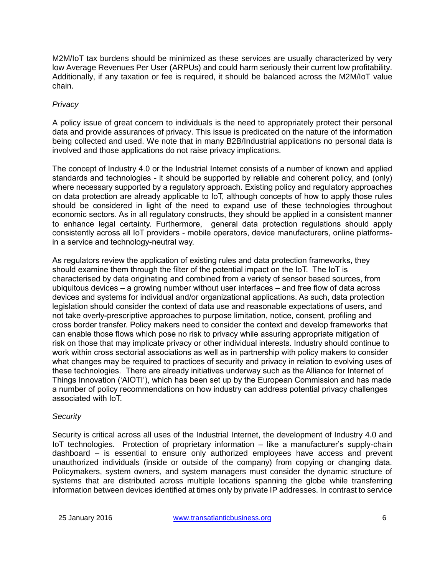M2M/IoT tax burdens should be minimized as these services are usually characterized by very low Average Revenues Per User (ARPUs) and could harm seriously their current low profitability. Additionally, if any taxation or fee is required, it should be balanced across the M2M/IoT value chain.

### *Privacy*

A policy issue of great concern to individuals is the need to appropriately protect their personal data and provide assurances of privacy. This issue is predicated on the nature of the information being collected and used. We note that in many B2B/Industrial applications no personal data is involved and those applications do not raise privacy implications.

The concept of Industry 4.0 or the Industrial Internet consists of a number of known and applied standards and technologies - it should be supported by reliable and coherent policy, and (only) where necessary supported by a regulatory approach. Existing policy and regulatory approaches on data protection are already applicable to IoT, although concepts of how to apply those rules should be considered in light of the need to expand use of these technologies throughout economic sectors. As in all regulatory constructs, they should be applied in a consistent manner to enhance legal certainty. Furthermore, general data protection regulations should apply consistently across all IoT providers - mobile operators, device manufacturers, online platformsin a service and technology-neutral way.

As regulators review the application of existing rules and data protection frameworks, they should examine them through the filter of the potential impact on the IoT. The IoT is characterised by data originating and combined from a variety of sensor based sources, from ubiquitous devices – a growing number without user interfaces – and free flow of data across devices and systems for individual and/or organizational applications. As such, data protection legislation should consider the context of data use and reasonable expectations of users, and not take overly-prescriptive approaches to purpose limitation, notice, consent, profiling and cross border transfer. Policy makers need to consider the context and develop frameworks that can enable those flows which pose no risk to privacy while assuring appropriate mitigation of risk on those that may implicate privacy or other individual interests. Industry should continue to work within cross sectorial associations as well as in partnership with policy makers to consider what changes may be required to practices of security and privacy in relation to evolving uses of these technologies. There are already initiatives underway such as the Alliance for Internet of Things Innovation ('AIOTI'), which has been set up by the European Commission and has made a number of policy recommendations on how industry can address potential privacy challenges associated with IoT.

### *Security*

Security is critical across all uses of the Industrial Internet, the development of Industry 4.0 and IoT technologies. Protection of proprietary information – like a manufacturer's supply-chain dashboard – is essential to ensure only authorized employees have access and prevent unauthorized individuals (inside or outside of the company) from copying or changing data. Policymakers, system owners, and system managers must consider the dynamic structure of systems that are distributed across multiple locations spanning the globe while transferring information between devices identified at times only by private IP addresses. In contrast to service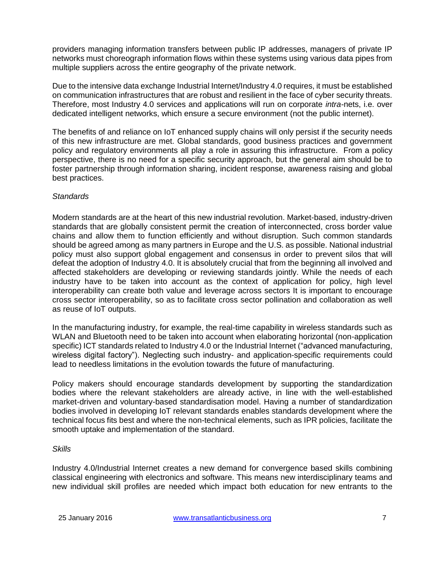providers managing information transfers between public IP addresses, managers of private IP networks must choreograph information flows within these systems using various data pipes from multiple suppliers across the entire geography of the private network.

Due to the intensive data exchange Industrial Internet/Industry 4.0 requires, it must be established on communication infrastructures that are robust and resilient in the face of cyber security threats. Therefore, most Industry 4.0 services and applications will run on corporate *intra-*nets, i.e. over dedicated intelligent networks, which ensure a secure environment (not the public internet).

The benefits of and reliance on IoT enhanced supply chains will only persist if the security needs of this new infrastructure are met. Global standards, good business practices and government policy and regulatory environments all play a role in assuring this infrastructure. From a policy perspective, there is no need for a specific security approach, but the general aim should be to foster partnership through information sharing, incident response, awareness raising and global best practices.

## *Standards*

Modern standards are at the heart of this new industrial revolution. Market-based, industry-driven standards that are globally consistent permit the creation of interconnected, cross border value chains and allow them to function efficiently and without disruption. Such common standards should be agreed among as many partners in Europe and the U.S. as possible. National industrial policy must also support global engagement and consensus in order to prevent silos that will defeat the adoption of Industry 4.0. It is absolutely crucial that from the beginning all involved and affected stakeholders are developing or reviewing standards jointly. While the needs of each industry have to be taken into account as the context of application for policy, high level interoperability can create both value and leverage across sectors It is important to encourage cross sector interoperability, so as to facilitate cross sector pollination and collaboration as well as reuse of IoT outputs.

In the manufacturing industry, for example, the real-time capability in wireless standards such as WLAN and Bluetooth need to be taken into account when elaborating horizontal (non-application specific) ICT standards related to Industry 4.0 or the Industrial Internet ("advanced manufacturing, wireless digital factory"). Neglecting such industry- and application-specific requirements could lead to needless limitations in the evolution towards the future of manufacturing.

Policy makers should encourage standards development by supporting the standardization bodies where the relevant stakeholders are already active, in line with the well-established market-driven and voluntary-based standardisation model. Having a number of standardization bodies involved in developing IoT relevant standards enables standards development where the technical focus fits best and where the non-technical elements, such as IPR policies, facilitate the smooth uptake and implementation of the standard.

### *Skills*

Industry 4.0/Industrial Internet creates a new demand for convergence based skills combining classical engineering with electronics and software. This means new interdisciplinary teams and new individual skill profiles are needed which impact both education for new entrants to the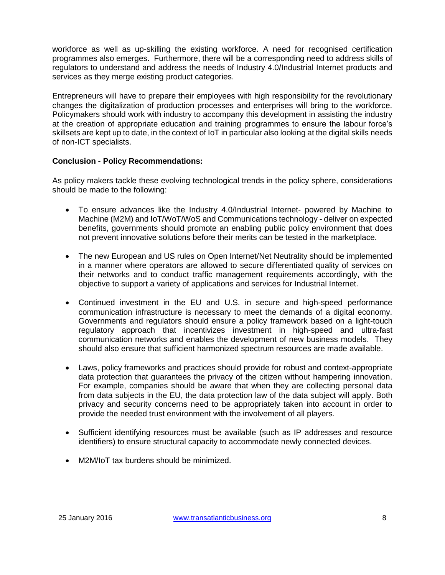workforce as well as up-skilling the existing workforce. A need for recognised certification programmes also emerges. Furthermore, there will be a corresponding need to address skills of regulators to understand and address the needs of Industry 4.0/Industrial Internet products and services as they merge existing product categories.

Entrepreneurs will have to prepare their employees with high responsibility for the revolutionary changes the digitalization of production processes and enterprises will bring to the workforce. Policymakers should work with industry to accompany this development in assisting the industry at the creation of appropriate education and training programmes to ensure the labour force's skillsets are kept up to date, in the context of IoT in particular also looking at the digital skills needs of non-ICT specialists.

### **Conclusion - Policy Recommendations:**

As policy makers tackle these evolving technological trends in the policy sphere, considerations should be made to the following:

- To ensure advances like the Industry 4.0/Industrial Internet- powered by Machine to Machine (M2M) and IoT/WoT/WoS and Communications technology - deliver on expected benefits, governments should promote an enabling public policy environment that does not prevent innovative solutions before their merits can be tested in the marketplace.
- The new European and US rules on Open Internet/Net Neutrality should be implemented in a manner where operators are allowed to secure differentiated quality of services on their networks and to conduct traffic management requirements accordingly, with the objective to support a variety of applications and services for Industrial Internet.
- Continued investment in the EU and U.S. in secure and high-speed performance communication infrastructure is necessary to meet the demands of a digital economy. Governments and regulators should ensure a policy framework based on a light-touch regulatory approach that incentivizes investment in high-speed and ultra-fast communication networks and enables the development of new business models. They should also ensure that sufficient harmonized spectrum resources are made available.
- Laws, policy frameworks and practices should provide for robust and context-appropriate data protection that guarantees the privacy of the citizen without hampering innovation. For example, companies should be aware that when they are collecting personal data from data subjects in the EU, the data protection law of the data subject will apply. Both privacy and security concerns need to be appropriately taken into account in order to provide the needed trust environment with the involvement of all players.
- Sufficient identifying resources must be available (such as IP addresses and resource identifiers) to ensure structural capacity to accommodate newly connected devices.
- M2M/IoT tax burdens should be minimized.